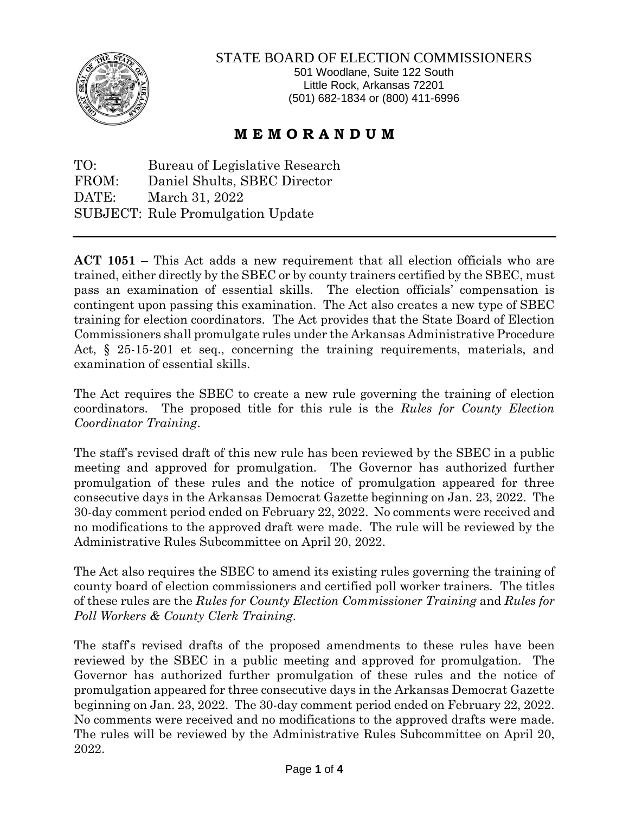

## STATE BOARD OF ELECTION COMMISSIONERS

501 Woodlane, Suite 122 South Little Rock, Arkansas 72201 (501) 682-1834 or (800) 411-6996

## **M E M O R A N D U M**

TO: Bureau of Legislative Research FROM: Daniel Shults, SBEC Director DATE: March 31, 2022 SUBJECT: Rule Promulgation Update

**ACT 1051** – This Act adds a new requirement that all election officials who are trained, either directly by the SBEC or by county trainers certified by the SBEC, must pass an examination of essential skills. The election officials' compensation is contingent upon passing this examination. The Act also creates a new type of SBEC training for election coordinators. The Act provides that the State Board of Election Commissioners shall promulgate rules under the Arkansas Administrative Procedure Act, § 25-15-201 et seq., concerning the training requirements, materials, and examination of essential skills.

The Act requires the SBEC to create a new rule governing the training of election coordinators. The proposed title for this rule is the *Rules for County Election Coordinator Training*.

The staff's revised draft of this new rule has been reviewed by the SBEC in a public meeting and approved for promulgation. The Governor has authorized further promulgation of these rules and the notice of promulgation appeared for three consecutive days in the Arkansas Democrat Gazette beginning on Jan. 23, 2022. The 30-day comment period ended on February 22, 2022. No comments were received and no modifications to the approved draft were made. The rule will be reviewed by the Administrative Rules Subcommittee on April 20, 2022.

The Act also requires the SBEC to amend its existing rules governing the training of county board of election commissioners and certified poll worker trainers. The titles of these rules are the *Rules for County Election Commissioner Training* and *Rules for Poll Workers & County Clerk Training*.

The staff's revised drafts of the proposed amendments to these rules have been reviewed by the SBEC in a public meeting and approved for promulgation. The Governor has authorized further promulgation of these rules and the notice of promulgation appeared for three consecutive days in the Arkansas Democrat Gazette beginning on Jan. 23, 2022. The 30-day comment period ended on February 22, 2022. No comments were received and no modifications to the approved drafts were made. The rules will be reviewed by the Administrative Rules Subcommittee on April 20, 2022.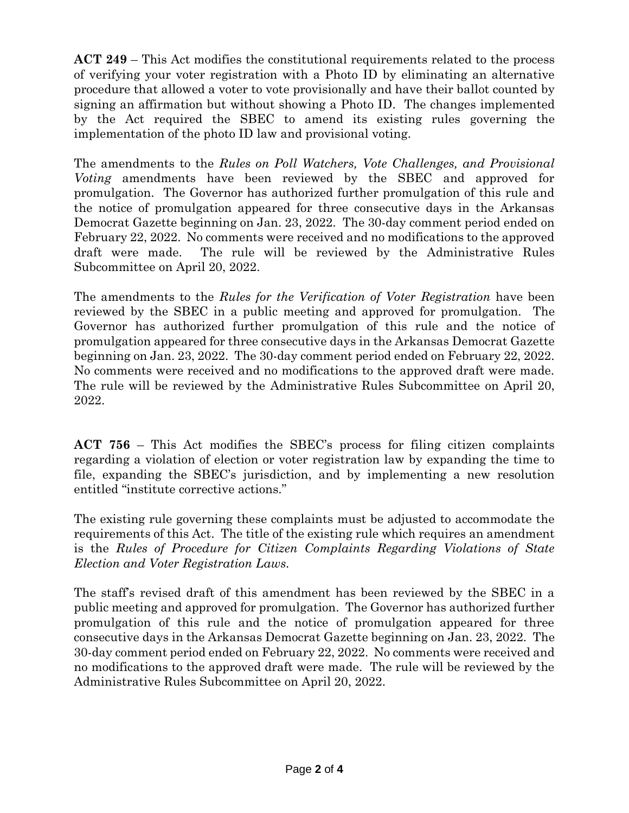**ACT 249** – This Act modifies the constitutional requirements related to the process of verifying your voter registration with a Photo ID by eliminating an alternative procedure that allowed a voter to vote provisionally and have their ballot counted by signing an affirmation but without showing a Photo ID. The changes implemented by the Act required the SBEC to amend its existing rules governing the implementation of the photo ID law and provisional voting.

The amendments to the *Rules on Poll Watchers, Vote Challenges, and Provisional Voting* amendments have been reviewed by the SBEC and approved for promulgation. The Governor has authorized further promulgation of this rule and the notice of promulgation appeared for three consecutive days in the Arkansas Democrat Gazette beginning on Jan. 23, 2022. The 30-day comment period ended on February 22, 2022. No comments were received and no modifications to the approved draft were made. The rule will be reviewed by the Administrative Rules Subcommittee on April 20, 2022.

The amendments to the *Rules for the Verification of Voter Registration* have been reviewed by the SBEC in a public meeting and approved for promulgation. The Governor has authorized further promulgation of this rule and the notice of promulgation appeared for three consecutive days in the Arkansas Democrat Gazette beginning on Jan. 23, 2022. The 30-day comment period ended on February 22, 2022. No comments were received and no modifications to the approved draft were made. The rule will be reviewed by the Administrative Rules Subcommittee on April 20, 2022.

**ACT 756** – This Act modifies the SBEC's process for filing citizen complaints regarding a violation of election or voter registration law by expanding the time to file, expanding the SBEC's jurisdiction, and by implementing a new resolution entitled "institute corrective actions."

The existing rule governing these complaints must be adjusted to accommodate the requirements of this Act. The title of the existing rule which requires an amendment is the *Rules of Procedure for Citizen Complaints Regarding Violations of State Election and Voter Registration Laws.* 

The staff's revised draft of this amendment has been reviewed by the SBEC in a public meeting and approved for promulgation. The Governor has authorized further promulgation of this rule and the notice of promulgation appeared for three consecutive days in the Arkansas Democrat Gazette beginning on Jan. 23, 2022. The 30-day comment period ended on February 22, 2022. No comments were received and no modifications to the approved draft were made. The rule will be reviewed by the Administrative Rules Subcommittee on April 20, 2022.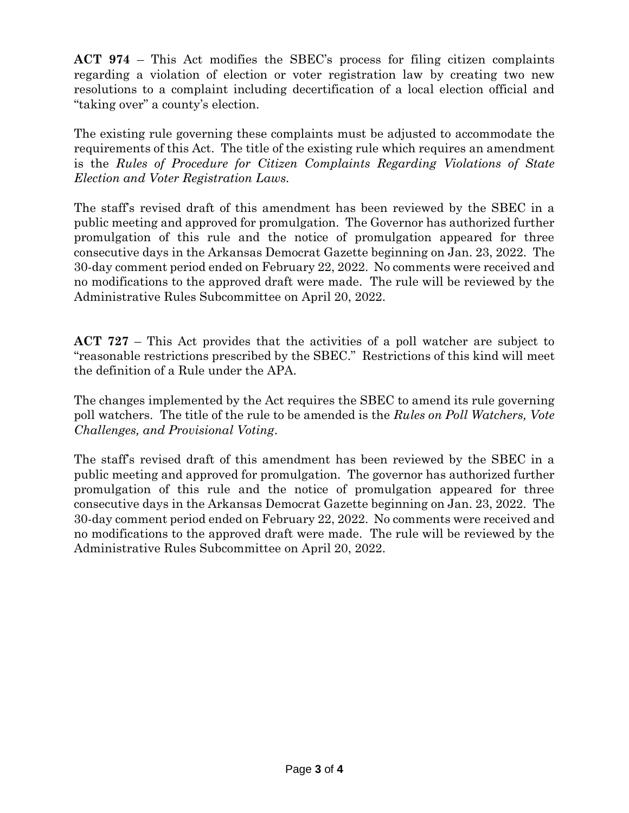**ACT 974** – This Act modifies the SBEC's process for filing citizen complaints regarding a violation of election or voter registration law by creating two new resolutions to a complaint including decertification of a local election official and "taking over" a county's election.

The existing rule governing these complaints must be adjusted to accommodate the requirements of this Act. The title of the existing rule which requires an amendment is the *Rules of Procedure for Citizen Complaints Regarding Violations of State Election and Voter Registration Laws.* 

The staff's revised draft of this amendment has been reviewed by the SBEC in a public meeting and approved for promulgation. The Governor has authorized further promulgation of this rule and the notice of promulgation appeared for three consecutive days in the Arkansas Democrat Gazette beginning on Jan. 23, 2022. The 30-day comment period ended on February 22, 2022. No comments were received and no modifications to the approved draft were made. The rule will be reviewed by the Administrative Rules Subcommittee on April 20, 2022.

**ACT 727** – This Act provides that the activities of a poll watcher are subject to "reasonable restrictions prescribed by the SBEC." Restrictions of this kind will meet the definition of a Rule under the APA.

The changes implemented by the Act requires the SBEC to amend its rule governing poll watchers. The title of the rule to be amended is the *Rules on Poll Watchers, Vote Challenges, and Provisional Voting*.

The staff's revised draft of this amendment has been reviewed by the SBEC in a public meeting and approved for promulgation. The governor has authorized further promulgation of this rule and the notice of promulgation appeared for three consecutive days in the Arkansas Democrat Gazette beginning on Jan. 23, 2022. The 30-day comment period ended on February 22, 2022. No comments were received and no modifications to the approved draft were made. The rule will be reviewed by the Administrative Rules Subcommittee on April 20, 2022.